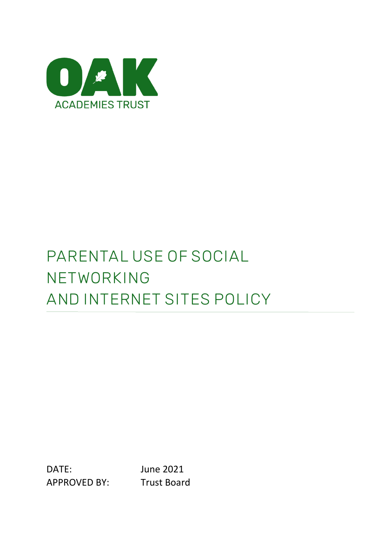

# **PARENTAL USE OF SOCIAL NETWORKING AND INTERNET SITES POLICY**

DATE: June 2021 APPROVED BY: Trust Board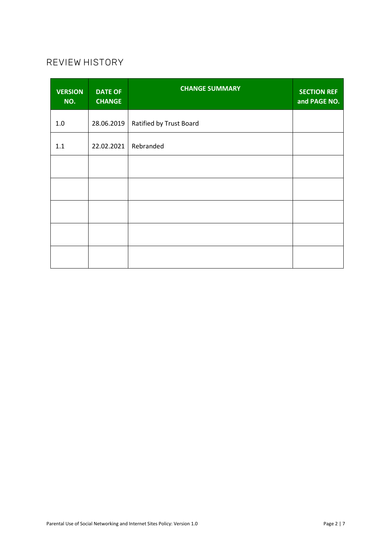## **REVIEW HISTORY**

| <b>VERSION</b><br>NO. | <b>DATE OF</b><br><b>CHANGE</b> | <b>CHANGE SUMMARY</b>   | <b>SECTION REF</b><br>and PAGE NO. |
|-----------------------|---------------------------------|-------------------------|------------------------------------|
| 1.0                   | 28.06.2019                      | Ratified by Trust Board |                                    |
| 1.1                   | 22.02.2021                      | Rebranded               |                                    |
|                       |                                 |                         |                                    |
|                       |                                 |                         |                                    |
|                       |                                 |                         |                                    |
|                       |                                 |                         |                                    |
|                       |                                 |                         |                                    |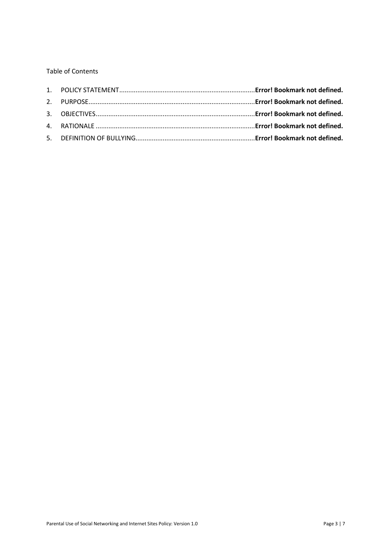Table of Contents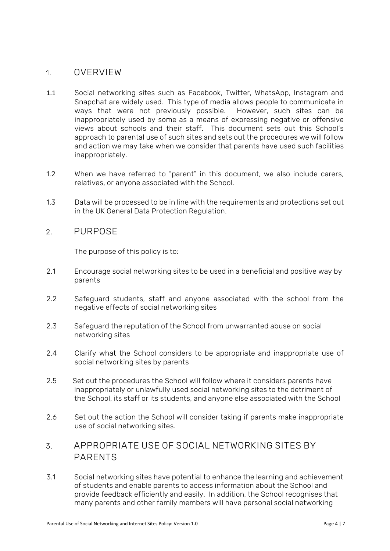#### **1. OVERVIEW**

- 1.1 Social networking sites such as Facebook, Twitter, WhatsApp, Instagram and Snapchat are widely used. This type of media allows people to communicate in ways that were not previously possible. However, such sites can be inappropriately used by some as a means of expressing negative or offensive views about schools and their staff. This document sets out this School's approach to parental use of such sites and sets out the procedures we will follow and action we may take when we consider that parents have used such facilities inappropriately.
- 1.2 When we have referred to "parent" in this document, we also include carers, relatives, or anyone associated with the School.
- 1.3 Data will be processed to be in line with the requirements and protections set out in the UK General Data Protection Regulation.

#### **2. PURPOSE**

The purpose of this policy is to:

- 2.1 Encourage social networking sites to be used in a beneficial and positive way by parents
- 2.2 Safeguard students, staff and anyone associated with the school from the negative effects of social networking sites
- 2.3 Safeguard the reputation of the School from unwarranted abuse on social networking sites
- 2.4 Clarify what the School considers to be appropriate and inappropriate use of social networking sites by parents
- 2.5 Set out the procedures the School will follow where it considers parents have inappropriately or unlawfully used social networking sites to the detriment of the School, its staff or its students, and anyone else associated with the School
- 2.6 Set out the action the School will consider taking if parents make inappropriate use of social networking sites.

## **3. APPROPRIATE USE OF SOCIAL NETWORKING SITES BY PARENTS**

3.1 Social networking sites have potential to enhance the learning and achievement of students and enable parents to access information about the School and provide feedback efficiently and easily. In addition, the School recognises that many parents and other family members will have personal social networking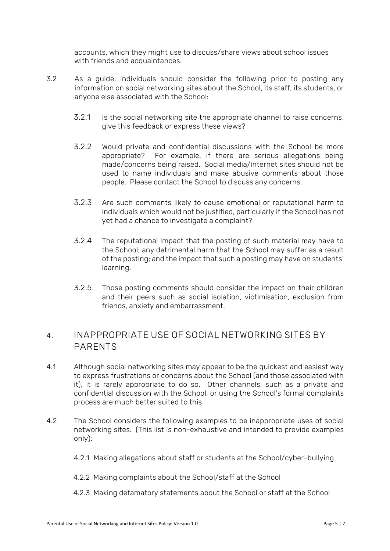accounts, which they might use to discuss/share views about school issues with friends and acquaintances.

- 3.2 As a guide, individuals should consider the following prior to posting any information on social networking sites about the School, its staff, its students, or anyone else associated with the School:
	- 3.2.1 Is the social networking site the appropriate channel to raise concerns, give this feedback or express these views?
	- 3.2.2 Would private and confidential discussions with the School be more appropriate? For example, if there are serious allegations being made/concerns being raised. Social media/internet sites should not be used to name individuals and make abusive comments about those people. Please contact the School to discuss any concerns.
	- 3.2.3 Are such comments likely to cause emotional or reputational harm to individuals which would not be justified, particularly if the School has not yet had a chance to investigate a complaint?
	- 3.2.4 The reputational impact that the posting of such material may have to the School; any detrimental harm that the School may suffer as a result of the posting; and the impact that such a posting may have on students' learning.
	- 3.2.5 Those posting comments should consider the impact on their children and their peers such as social isolation, victimisation, exclusion from friends, anxiety and embarrassment.

### **4. INAPPROPRIATE USE OF SOCIAL NETWORKING SITES BY PARENTS**

- 4.1 Although social networking sites may appear to be the quickest and easiest way to express frustrations or concerns about the School (and those associated with it), it is rarely appropriate to do so. Other channels, such as a private and confidential discussion with the School, or using the School's formal complaints process are much better suited to this.
- 4.2 The School considers the following examples to be inappropriate uses of social networking sites. (This list is non-exhaustive and intended to provide examples only):
	- 4.2.1 Making allegations about staff or students at the School/cyber-bullying
	- 4.2.2 Making complaints about the School/staff at the School
	- 4.2.3 Making defamatory statements about the School or staff at the School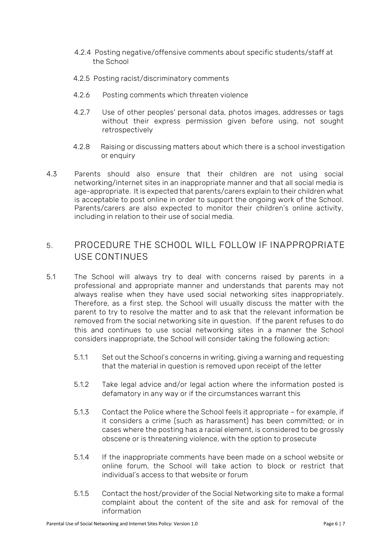- 4.2.4 Posting negative/offensive comments about specific students/staff at the School
- 4.2.5 Posting racist/discriminatory comments
- 4.2.6 Posting comments which threaten violence
- 4.2.7 Use of other peoples' personal data, photos images, addresses or tags without their express permission given before using, not sought retrospectively
- 4.2.8 Raising or discussing matters about which there is a school investigation or enquiry
- 4.3 Parents should also ensure that their children are not using social networking/internet sites in an inappropriate manner and that all social media is age-appropriate. It is expected that parents/carers explain to their children what is acceptable to post online in order to support the ongoing work of the School. Parents/carers are also expected to monitor their children's online activity, including in relation to their use of social media.

## **5. PROCEDURE THE SCHOOL WILL FOLLOW IF INAPPROPRIATE USE CONTINUES**

- 5.1 The School will always try to deal with concerns raised by parents in a professional and appropriate manner and understands that parents may not always realise when they have used social networking sites inappropriately. Therefore, as a first step, the School will usually discuss the matter with the parent to try to resolve the matter and to ask that the relevant information be removed from the social networking site in question. If the parent refuses to do this and continues to use social networking sites in a manner the School considers inappropriate, the School will consider taking the following action:
	- 5.1.1 Set out the School's concerns in writing, giving a warning and requesting that the material in question is removed upon receipt of the letter
	- 5.1.2 Take legal advice and/or legal action where the information posted is defamatory in any way or if the circumstances warrant this
	- 5.1.3 Contact the Police where the School feels it appropriate for example, if it considers a crime (such as harassment) has been committed; or in cases where the posting has a racial element, is considered to be grossly obscene or is threatening violence, with the option to prosecute
	- 5.1.4 If the inappropriate comments have been made on a school website or online forum, the School will take action to block or restrict that individual's access to that website or forum
	- 5.1.5 Contact the host/provider of the Social Networking site to make a formal complaint about the content of the site and ask for removal of the information